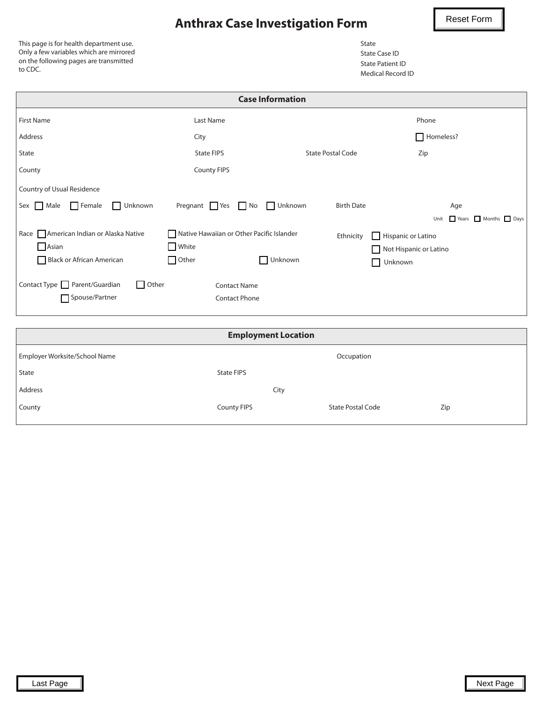## **Anthrax Case Investigation Form**

Reset Form

This page is for health department use. Only a few variables which are mirrored on the following pages are transmitted to CDC.

| State             |
|-------------------|
| State Case ID     |
| State Patient ID  |
| Medical Record ID |

| <b>Case Information</b>                 |                                           |                          |                           |  |  |  |  |  |
|-----------------------------------------|-------------------------------------------|--------------------------|---------------------------|--|--|--|--|--|
| <b>First Name</b>                       | Last Name                                 |                          | Phone                     |  |  |  |  |  |
| Address                                 | City                                      |                          | Homeless?                 |  |  |  |  |  |
| State                                   | <b>State FIPS</b>                         | <b>State Postal Code</b> | Zip                       |  |  |  |  |  |
| County                                  | <b>County FIPS</b>                        |                          |                           |  |  |  |  |  |
| Country of Usual Residence              |                                           |                          |                           |  |  |  |  |  |
| Female<br>Sex Male<br>Unknown           | Pregnant Yes No Unknown                   | <b>Birth Date</b>        | Age                       |  |  |  |  |  |
|                                         |                                           |                          | Years Months Days<br>Unit |  |  |  |  |  |
| Race American Indian or Alaska Native   | Native Hawaiian or Other Pacific Islander | Ethnicity                | Hispanic or Latino        |  |  |  |  |  |
| $\Box$ Asian                            | $\Box$ White                              |                          | Not Hispanic or Latino    |  |  |  |  |  |
| Black or African American               | $\Box$ Other                              | Unknown                  | Unknown                   |  |  |  |  |  |
| Contact Type Parent/Guardian<br>  Other | <b>Contact Name</b>                       |                          |                           |  |  |  |  |  |
| Spouse/Partner                          | <b>Contact Phone</b>                      |                          |                           |  |  |  |  |  |

| <b>Employment Location</b>                  |                    |                          |     |  |  |  |
|---------------------------------------------|--------------------|--------------------------|-----|--|--|--|
| Employer Worksite/School Name<br>Occupation |                    |                          |     |  |  |  |
| State                                       | State FIPS         |                          |     |  |  |  |
| Address                                     | City               |                          |     |  |  |  |
| County                                      | <b>County FIPS</b> | <b>State Postal Code</b> | Zip |  |  |  |
|                                             |                    |                          |     |  |  |  |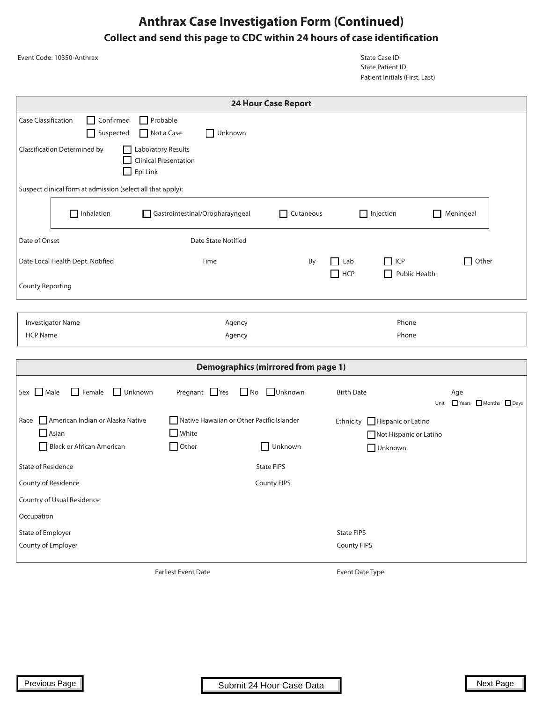### **Anthrax Case Investigation Form (Continued) Collect and send this page to CDC within 24 hours of case identification**

|                                                | Event Code: 10350-Anthrax                                   |                                                           |                            | <b>State Case ID</b><br><b>State Patient ID</b><br>Patient Initials (First, Last) |                                                    |
|------------------------------------------------|-------------------------------------------------------------|-----------------------------------------------------------|----------------------------|-----------------------------------------------------------------------------------|----------------------------------------------------|
|                                                |                                                             |                                                           | <b>24 Hour Case Report</b> |                                                                                   |                                                    |
| Case Classification                            | $\Box$ Confirmed<br>$\Box$ Probable<br>Suspected            | Unknown<br>Not a Case                                     |                            |                                                                                   |                                                    |
|                                                | <b>Classification Determined by</b><br>Epi Link             | Laboratory Results<br><b>Clinical Presentation</b>        |                            |                                                                                   |                                                    |
|                                                | Suspect clinical form at admission (select all that apply): |                                                           |                            |                                                                                   |                                                    |
|                                                | $\Box$ Inhalation                                           | Gastrointestinal/Oropharayngeal                           | $\Box$ Cutaneous           | $\Box$ Injection                                                                  | Meningeal<br>ΙI                                    |
| Date of Onset                                  |                                                             | <b>Date State Notified</b>                                |                            |                                                                                   |                                                    |
|                                                | Date Local Health Dept. Notified                            | Time                                                      | By                         | $\Box$ Lab<br>$\Box$ ICP<br>$\Box$ HCP<br>Public Health<br>$\mathsf{L}$           | Other                                              |
| <b>County Reporting</b>                        |                                                             |                                                           |                            |                                                                                   |                                                    |
|                                                |                                                             |                                                           |                            |                                                                                   |                                                    |
| <b>HCP Name</b>                                | <b>Investigator Name</b>                                    | Agency<br>Agency                                          |                            | Phone<br>Phone                                                                    |                                                    |
|                                                |                                                             |                                                           |                            |                                                                                   |                                                    |
|                                                |                                                             | <b>Demographics (mirrored from page 1)</b>                |                            |                                                                                   |                                                    |
| Sex Male                                       | $\Box$ Female<br>Unknown                                    | Pregnant Yes<br>$\Box$ No                                 | <b>Unknown</b>             | <b>Birth Date</b>                                                                 | Age<br>Unit $\Box$ Years $\Box$ Months $\Box$ Days |
|                                                | Race American Indian or Alaska Native<br>$\Box$ Asian       | Native Hawaiian or Other Pacific Islander<br>$\Box$ White |                            | Ethnicity Hispanic or Latino<br>Not Hispanic or Latino                            |                                                    |
|                                                | Black or African American                                   | $\Box$ Other                                              | Unknown                    | Unknown                                                                           |                                                    |
| <b>State of Residence</b>                      |                                                             |                                                           | <b>State FIPS</b>          |                                                                                   |                                                    |
| County of Residence                            |                                                             |                                                           | <b>County FIPS</b>         |                                                                                   |                                                    |
|                                                | Country of Usual Residence                                  |                                                           |                            |                                                                                   |                                                    |
| Occupation                                     |                                                             |                                                           |                            |                                                                                   |                                                    |
| <b>State of Employer</b><br>County of Employer |                                                             |                                                           |                            | <b>State FIPS</b><br>County FIPS                                                  |                                                    |
|                                                |                                                             |                                                           |                            |                                                                                   |                                                    |
|                                                |                                                             | <b>Earliest Event Date</b>                                |                            | Event Date Type                                                                   |                                                    |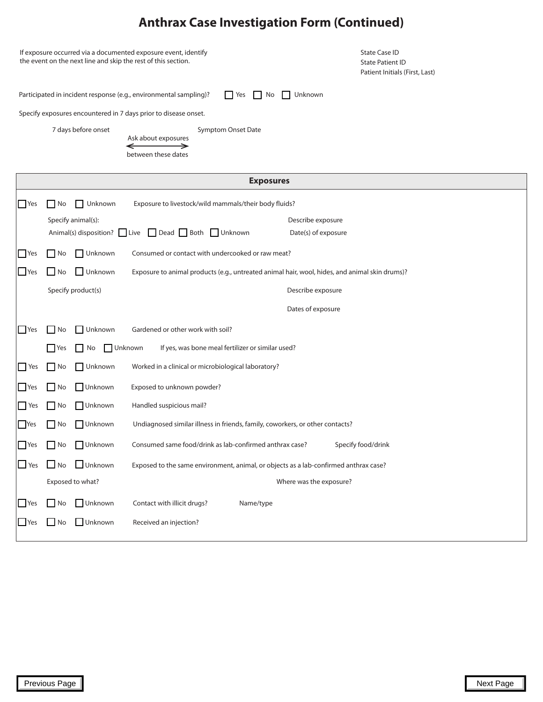|            | If exposure occurred via a documented exposure event, identify<br>the event on the next line and skip the rest of this section. |                        |                                                                                                    |                                          | <b>State Case ID</b><br><b>State Patient ID</b><br>Patient Initials (First, Last) |
|------------|---------------------------------------------------------------------------------------------------------------------------------|------------------------|----------------------------------------------------------------------------------------------------|------------------------------------------|-----------------------------------------------------------------------------------|
|            |                                                                                                                                 |                        | Participated in incident response (e.g., environmental sampling)?<br>$\Box$ Yes<br>$\mathsf{I}$ No | Unknown                                  |                                                                                   |
|            |                                                                                                                                 |                        | Specify exposures encountered in 7 days prior to disease onset.                                    |                                          |                                                                                   |
|            |                                                                                                                                 | 7 days before onset    | Symptom Onset Date<br>Ask about exposures<br>between these dates                                   |                                          |                                                                                   |
|            |                                                                                                                                 |                        | <b>Exposures</b>                                                                                   |                                          |                                                                                   |
| $\Box$ Yes | l No                                                                                                                            | Unknown                | Exposure to livestock/wild mammals/their body fluids?                                              |                                          |                                                                                   |
|            |                                                                                                                                 | Specify animal(s):     | Animal(s) disposition? Live Dead Both Unknown                                                      | Describe exposure<br>Date(s) of exposure |                                                                                   |
| Yes        | No                                                                                                                              | □ Unknown              | Consumed or contact with undercooked or raw meat?                                                  |                                          |                                                                                   |
| $\Box$ Yes | l No                                                                                                                            | Unknown                | Exposure to animal products (e.g., untreated animal hair, wool, hides, and animal skin drums)?     |                                          |                                                                                   |
|            |                                                                                                                                 | Specify product(s)     |                                                                                                    | Describe exposure                        |                                                                                   |
|            |                                                                                                                                 |                        |                                                                                                    | Dates of exposure                        |                                                                                   |
| Yes        | No                                                                                                                              | Unknown                | Gardened or other work with soil?                                                                  |                                          |                                                                                   |
|            | l Yes                                                                                                                           | <b>N</b> Unknown<br>No | If yes, was bone meal fertilizer or similar used?                                                  |                                          |                                                                                   |
| Yes        | No                                                                                                                              | Unknown                | Worked in a clinical or microbiological laboratory?                                                |                                          |                                                                                   |
| <b>Yes</b> | l No                                                                                                                            | Unknown                | Exposed to unknown powder?                                                                         |                                          |                                                                                   |
| Yes        | No                                                                                                                              | $\Box$ Unknown         | Handled suspicious mail?                                                                           |                                          |                                                                                   |
| Yes        | No                                                                                                                              | │ Unknown              | Undiagnosed similar illness in friends, family, coworkers, or other contacts?                      |                                          |                                                                                   |
| Yes        | No                                                                                                                              | Unknown                | Consumed same food/drink as lab-confirmed anthrax case?                                            |                                          | Specify food/drink                                                                |
| $\Box$ Yes | $\Box$ No                                                                                                                       | $\Box$ Unknown         | Exposed to the same environment, animal, or objects as a lab-confirmed anthrax case?               |                                          |                                                                                   |
|            |                                                                                                                                 | Exposed to what?       |                                                                                                    | Where was the exposure?                  |                                                                                   |
| <b>Yes</b> | $\Box$ No                                                                                                                       | Unknown                | Contact with illicit drugs?<br>Name/type                                                           |                                          |                                                                                   |
| <b>Yes</b> | $\blacksquare$ No                                                                                                               | Unknown                | Received an injection?                                                                             |                                          |                                                                                   |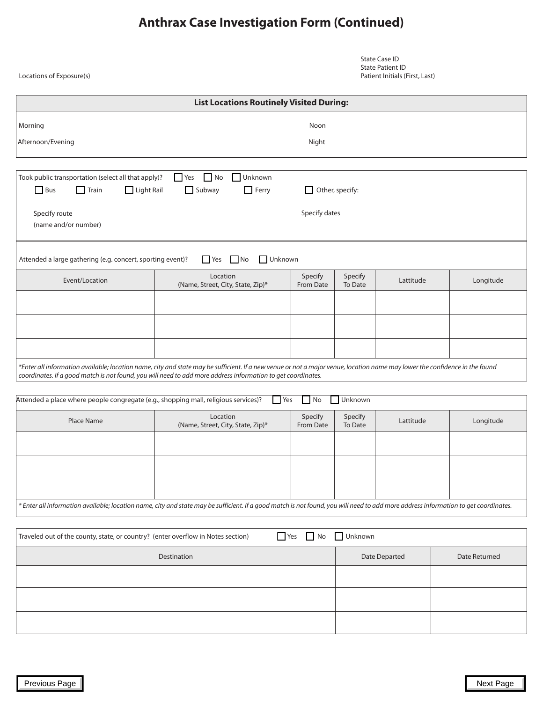| Locations of Exposure(s)                                                                                                                                                                                                                                       |                                                                                                                                                                             |                      |                    | <b>State Case ID</b><br><b>State Patient ID</b><br>Patient Initials (First, Last) |  |               |  |  |
|----------------------------------------------------------------------------------------------------------------------------------------------------------------------------------------------------------------------------------------------------------------|-----------------------------------------------------------------------------------------------------------------------------------------------------------------------------|----------------------|--------------------|-----------------------------------------------------------------------------------|--|---------------|--|--|
|                                                                                                                                                                                                                                                                | <b>List Locations Routinely Visited During:</b>                                                                                                                             |                      |                    |                                                                                   |  |               |  |  |
| Morning                                                                                                                                                                                                                                                        |                                                                                                                                                                             | Noon                 |                    |                                                                                   |  |               |  |  |
| Afternoon/Evening                                                                                                                                                                                                                                              |                                                                                                                                                                             | Night                |                    |                                                                                   |  |               |  |  |
| $\Box$ Yes $\Box$ No<br>Unknown<br>Took public transportation (select all that apply)?<br>$\Box$ Light Rail<br>$\Box$ Bus<br>$\Box$ Train<br>$\Box$ Subway<br>$\Box$ Ferry<br>$\Box$ Other, specify:<br>Specify dates<br>Specify route<br>(name and/or number) |                                                                                                                                                                             |                      |                    |                                                                                   |  |               |  |  |
| Attended a large gathering (e.g. concert, sporting event)?                                                                                                                                                                                                     | $\Box$ Unknown<br>N <sub>o</sub><br>  Yes                                                                                                                                   |                      |                    |                                                                                   |  |               |  |  |
| Event/Location                                                                                                                                                                                                                                                 | Location<br>(Name, Street, City, State, Zip)*                                                                                                                               | Specify<br>From Date | Specify<br>To Date | Lattitude                                                                         |  | Longitude     |  |  |
|                                                                                                                                                                                                                                                                |                                                                                                                                                                             |                      |                    |                                                                                   |  |               |  |  |
|                                                                                                                                                                                                                                                                |                                                                                                                                                                             |                      |                    |                                                                                   |  |               |  |  |
|                                                                                                                                                                                                                                                                |                                                                                                                                                                             |                      |                    |                                                                                   |  |               |  |  |
| coordinates. If a good match is not found, you will need to add more address information to get coordinates.                                                                                                                                                   | *Enter all information available; location name, city and state may be sufficient. If a new venue or not a major venue, location name may lower the confidence in the found |                      |                    |                                                                                   |  |               |  |  |
| Attended a place where people congregate (e.g., shopping mall, religious services)?                                                                                                                                                                            | $\blacksquare$ Yes                                                                                                                                                          | $\Box$ No            | Unknown            |                                                                                   |  |               |  |  |
|                                                                                                                                                                                                                                                                | Location                                                                                                                                                                    |                      |                    |                                                                                   |  |               |  |  |
| Place Name                                                                                                                                                                                                                                                     | (Name, Street, City, State, Zip)*                                                                                                                                           | Specify<br>From Date | Specify<br>To Date | Lattitude                                                                         |  | Longitude     |  |  |
|                                                                                                                                                                                                                                                                |                                                                                                                                                                             |                      |                    |                                                                                   |  |               |  |  |
|                                                                                                                                                                                                                                                                |                                                                                                                                                                             |                      |                    |                                                                                   |  |               |  |  |
|                                                                                                                                                                                                                                                                |                                                                                                                                                                             |                      |                    |                                                                                   |  |               |  |  |
| * Enter all information available; location name, city and state may be sufficient. If a good match is not found, you will need to add more address information to get coordinates.                                                                            |                                                                                                                                                                             |                      |                    |                                                                                   |  |               |  |  |
| Traveled out of the county, state, or country? (enter overflow in Notes section)                                                                                                                                                                               |                                                                                                                                                                             | Yes No Unknown       |                    |                                                                                   |  |               |  |  |
|                                                                                                                                                                                                                                                                | Destination                                                                                                                                                                 |                      |                    | Date Departed                                                                     |  | Date Returned |  |  |
|                                                                                                                                                                                                                                                                |                                                                                                                                                                             |                      |                    |                                                                                   |  |               |  |  |
|                                                                                                                                                                                                                                                                |                                                                                                                                                                             |                      |                    |                                                                                   |  |               |  |  |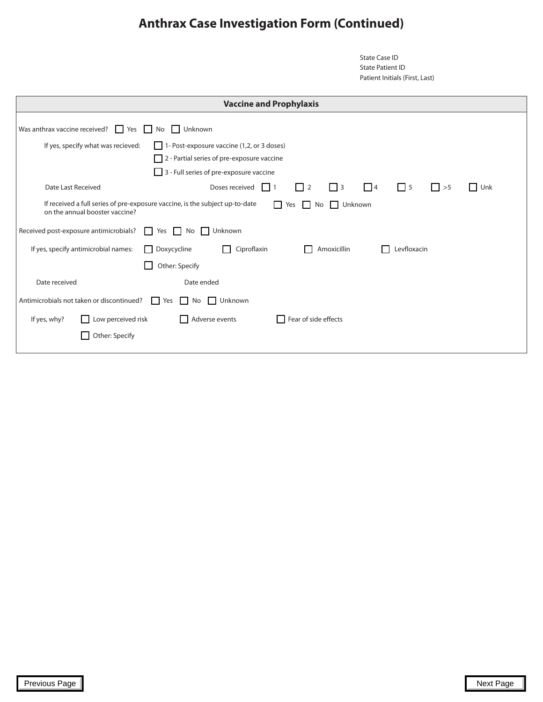State Case ID State Patient ID Patient Initials (First, Last)

| <b>Vaccine and Prophylaxis</b>                                                                                                               |                                                                                                                                                  |  |  |  |  |  |
|----------------------------------------------------------------------------------------------------------------------------------------------|--------------------------------------------------------------------------------------------------------------------------------------------------|--|--|--|--|--|
| Was anthrax vaccine received? $\Box$ Yes $\Box$ No                                                                                           | <b>Unknown</b>                                                                                                                                   |  |  |  |  |  |
| $\Box$ 1- Post-exposure vaccine (1,2, or 3 doses)<br>If yes, specify what was recieved:<br>$\Box$ 2 - Partial series of pre-exposure vaccine |                                                                                                                                                  |  |  |  |  |  |
| Date Last Received                                                                                                                           | 3 - Full series of pre-exposure vaccine<br>$\Box$ 2<br>$\Box$<br>$\Box$ 3<br>$\Box$ 5<br>Doses received<br>$\vert \vert$ >5<br>$\Box$ Unk<br>111 |  |  |  |  |  |
| on the annual booster vaccine?                                                                                                               | If received a full series of pre-exposure vaccine, is the subject up-to-date<br>Unknown<br>Yes No                                                |  |  |  |  |  |
| Received post-exposure antimicrobials?                                                                                                       | Unknown<br>Yes<br>No<br>$\perp$<br>$\mathbf{1}$                                                                                                  |  |  |  |  |  |
| If yes, specify antimicrobial names:                                                                                                         | Doxycycline<br>Ciproflaxin<br>Amoxicillin<br>Levfloxacin                                                                                         |  |  |  |  |  |
|                                                                                                                                              | Other: Specify                                                                                                                                   |  |  |  |  |  |
| Date received                                                                                                                                | Date ended                                                                                                                                       |  |  |  |  |  |
| Antimicrobials not taken or discontinued?<br>Unknown<br>Yes<br>No.<br>$\mathbf{L}$                                                           |                                                                                                                                                  |  |  |  |  |  |
| Low perceived risk<br>If yes, why?                                                                                                           | $\Box$ Adverse events<br>$\Box$ Fear of side effects                                                                                             |  |  |  |  |  |
| Other: Specify                                                                                                                               |                                                                                                                                                  |  |  |  |  |  |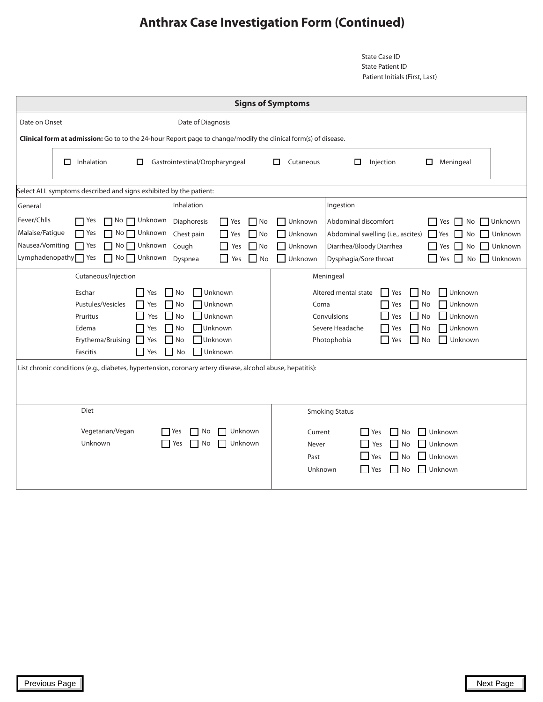State Case ID State Patient ID Patient Initials (First, Last)

|                                                                                                                                                                                                                                                                                                                                                                                                                                                                                                                                                            | <b>Signs of Symptoms</b>                                                                                                                                                                                                                                                                                                   |  |  |  |  |  |  |
|------------------------------------------------------------------------------------------------------------------------------------------------------------------------------------------------------------------------------------------------------------------------------------------------------------------------------------------------------------------------------------------------------------------------------------------------------------------------------------------------------------------------------------------------------------|----------------------------------------------------------------------------------------------------------------------------------------------------------------------------------------------------------------------------------------------------------------------------------------------------------------------------|--|--|--|--|--|--|
| Date on Onset<br>Date of Diagnosis                                                                                                                                                                                                                                                                                                                                                                                                                                                                                                                         |                                                                                                                                                                                                                                                                                                                            |  |  |  |  |  |  |
| Clinical form at admission: Go to to the 24-hour Report page to change/modify the clinical form(s) of disease.                                                                                                                                                                                                                                                                                                                                                                                                                                             |                                                                                                                                                                                                                                                                                                                            |  |  |  |  |  |  |
| Inhalation<br>Gastrointestinal/Oropharyngeal<br>0<br>П                                                                                                                                                                                                                                                                                                                                                                                                                                                                                                     | п<br>Cutaneous<br>□<br>Injection<br>□<br>Meningeal                                                                                                                                                                                                                                                                         |  |  |  |  |  |  |
| Select ALL symptoms described and signs exhibited by the patient:                                                                                                                                                                                                                                                                                                                                                                                                                                                                                          |                                                                                                                                                                                                                                                                                                                            |  |  |  |  |  |  |
| Inhalation<br>General                                                                                                                                                                                                                                                                                                                                                                                                                                                                                                                                      | Ingestion                                                                                                                                                                                                                                                                                                                  |  |  |  |  |  |  |
| Fever/Chlls<br>$\Gamma$ Yes<br>$\Box$ No $\Box$ Unknown<br>Diaphoresis<br>$\Box$ No<br>Yes<br>Malaise/Fatigue<br>No Unknown<br>$\Gamma$ Yes<br>Chest pain<br>N <sub>O</sub><br>$\Box$ Yes<br>Nausea/Vomiting<br>$\Gamma$ Yes<br>$No$ Unknown<br>Cough<br>$\Box$ No<br>Yes<br>No Unknown<br>$Lymphadenopathy$ Yes<br>$\blacksquare$ No<br>Dyspnea<br>Yes                                                                                                                                                                                                    | $\Box$ Unknown<br>Abdominal discomfort<br>$\Box$ Unknown<br>$\Box$<br>No<br><b>Yes</b><br>□ Unknown<br>Abdominal swelling (i.e., ascites)<br>$\Box$ Yes<br>Unknown<br>$\perp$<br>No<br>Unknown<br>Diarrhea/Bloody Diarrhea<br>$\Box$ Yes $\Box$ No<br>Unknown<br>$\Box$ Unknown<br>Yes No Unknown<br>Dysphagia/Sore throat |  |  |  |  |  |  |
| Cutaneous/Injection<br>Meningeal                                                                                                                                                                                                                                                                                                                                                                                                                                                                                                                           |                                                                                                                                                                                                                                                                                                                            |  |  |  |  |  |  |
| Eschar<br>$\Box$ No<br>$\Box$ Unknown<br>Altered mental state<br>Unknown<br>Yes<br>  No<br>  Yes<br>Unknown<br>Unknown<br>Pustules/Vesicles<br>No<br>Coma<br>$\Box$ No<br>Yes<br>- 1<br>Yes<br>$\blacksquare$<br><b>No</b><br>Unknown<br>$\Box$<br>No<br>Unknown<br>Pruritus<br>Yes<br>Convulsions<br>Yes<br><b>Unknown</b><br>Severe Headache<br>Unknown<br>Edema<br>No<br>$\Box$ No<br>- 1<br>Yes<br>Yes<br>□Unknown<br>Unknown<br>Erythema/Bruising<br>  No<br>Photophobia<br>ΙI<br>No<br>Yes<br>Yes<br>Unknown<br>Fascitis<br>$\blacksquare$ No<br>Yes |                                                                                                                                                                                                                                                                                                                            |  |  |  |  |  |  |
| List chronic conditions (e.g., diabetes, hypertension, coronary artery disease, alcohol abuse, hepatitis):                                                                                                                                                                                                                                                                                                                                                                                                                                                 |                                                                                                                                                                                                                                                                                                                            |  |  |  |  |  |  |
| Diet<br>Vegetarian/Vegan<br>Unknown<br>No<br>Yes<br>Unknown<br>Unknown<br>Yes<br>No                                                                                                                                                                                                                                                                                                                                                                                                                                                                        | <b>Smoking Status</b><br>$N$ o<br>Unknown<br>Current<br><b>Yes</b><br>$\Box$ No<br>$\Box$ Unknown<br>  Yes<br>Never<br>$\Box$ No<br>$\Box$ Yes<br>$\Box$ Unknown<br>Past<br>Unknown<br>$\Box$ Yes<br>No<br>$\vert$ Unknown                                                                                                 |  |  |  |  |  |  |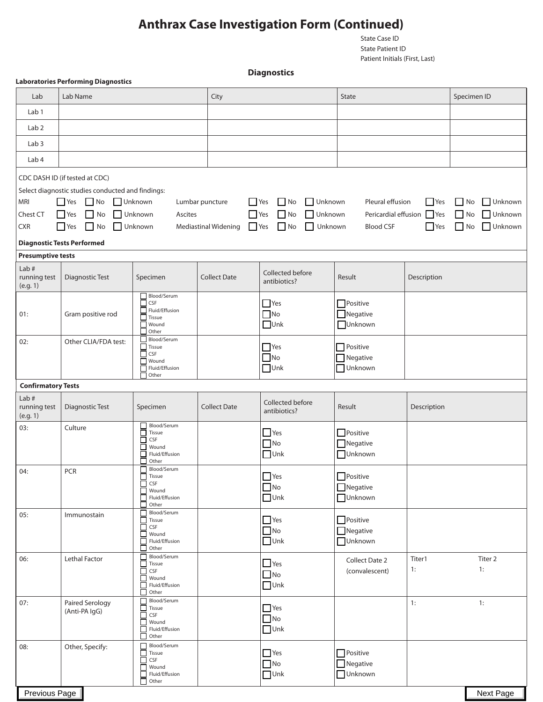State Case ID State Patient ID Patient Initials (First, Last)

**Diagnostics**

|                                  | <b>Laboratories Performing Diagnostics</b>        |                                              |                                    |                                  |                            |                           |                             |
|----------------------------------|---------------------------------------------------|----------------------------------------------|------------------------------------|----------------------------------|----------------------------|---------------------------|-----------------------------|
| Lab                              | Lab Name                                          |                                              | City                               |                                  | <b>State</b>               |                           | Specimen ID                 |
| Lab <sub>1</sub>                 |                                                   |                                              |                                    |                                  |                            |                           |                             |
| Lab <sub>2</sub>                 |                                                   |                                              |                                    |                                  |                            |                           |                             |
| Lab <sub>3</sub>                 |                                                   |                                              |                                    |                                  |                            |                           |                             |
| Lab <sub>4</sub>                 |                                                   |                                              |                                    |                                  |                            |                           |                             |
|                                  | CDC DASH ID (if tested at CDC)                    |                                              |                                    |                                  |                            |                           |                             |
|                                  | Select diagnostic studies conducted and findings: |                                              |                                    |                                  |                            |                           |                             |
| <b>MRI</b>                       | $\Box$ No<br>$\Gamma$ Yes                         | Unknown<br>Lumbar puncture                   | $\Box$ Yes                         | $\Box$ No<br>Unknown             | Pleural effusion           | $\Box$ Yes                | $\Box$ No<br>$\Box$ Unknown |
| Chest CT                         | $\Box$ Yes<br>$\Box$ No                           | $\Box$ Unknown<br>Ascites                    | Yes                                | $\Box$ No<br>Unknown             |                            | Pericardial effusion PYes | $\Box$ No<br>Unknown        |
| <b>CXR</b>                       | $\Box$ Yes<br>$\overline{\phantom{a}}$ No         | Unknown                                      | Yes<br><b>Mediastinal Widening</b> | $\Box$ No<br>Unknown             | <b>Blood CSF</b>           | $\Box$ Yes                | $N$ o<br>Unknown            |
|                                  | <b>Diagnostic Tests Performed</b>                 |                                              |                                    |                                  |                            |                           |                             |
| <b>Presumptive tests</b><br>Lab# |                                                   |                                              |                                    |                                  |                            |                           |                             |
| running test<br>(e.g. 1)         | Diagnostic Test                                   | Specimen                                     | <b>Collect Date</b>                | Collected before<br>antibiotics? | Result                     | Description               |                             |
|                                  |                                                   | Blood/Serum<br>CSF                           |                                    | $\Box$ Yes                       | $\Box$ Positive            |                           |                             |
| 01:                              | Gram positive rod                                 | Fluid/Effusion<br>Tissue                     |                                    | $\Box$ No                        | $\Box$ Negative            |                           |                             |
|                                  |                                                   | Wound<br>Other<br>×.                         |                                    | $\Box$ Unk                       | Unknown                    |                           |                             |
| 02:                              | Other CLIA/FDA test:                              | Blood/Serum<br>Tissue                        |                                    | $\Box$ Yes                       | Positive                   |                           |                             |
|                                  |                                                   | CSF<br>Wound                                 |                                    | $N$ o                            | Negative                   |                           |                             |
|                                  |                                                   | Fluid/Effusion<br>Other                      |                                    | $\Box$ Unk                       | Unknown                    |                           |                             |
| <b>Confirmatory Tests</b>        |                                                   |                                              |                                    |                                  |                            |                           |                             |
| Lab#<br>running test<br>(e.g. 1) | Diagnostic Test                                   | Specimen                                     | <b>Collect Date</b>                | Collected before<br>antibiotics? | Result                     | Description               |                             |
| 03:                              | Culture                                           | Blood/Serum<br>$\Box$ Tissue                 |                                    | $\Box$ Yes                       | $\Box$ Positive            |                           |                             |
|                                  |                                                   | CSF<br>$\Box$<br><b>Nound</b>                |                                    | $N$ o                            | $\Box$ Negative            |                           |                             |
|                                  |                                                   | Fluid/Effusion<br>П<br>Other                 |                                    | $\Box$ Unk                       | Unknown                    |                           |                             |
| 04:                              | <b>PCR</b>                                        | Blood/Serum<br>$\Box$ Tissue                 |                                    | $\Box$ Yes                       | $\Box$ Positive            |                           |                             |
|                                  |                                                   | CSF<br>П<br>Wound                            |                                    | $\Box$ No                        | $\Box$ Negative            |                           |                             |
|                                  |                                                   | Fluid/Effusion<br>Other                      |                                    | $\Box$ Unk                       | <b>Unknown</b>             |                           |                             |
| 05:                              | Immunostain                                       | Blood/Serum<br>Tissue                        |                                    | $\Box$ Yes                       | $\Box$ Positive            |                           |                             |
|                                  |                                                   | CSF<br>$\mathbb{R}$<br>Wound<br>$\mathbf{I}$ |                                    | $\Box$ No                        | $\Box$ Negative            |                           |                             |
|                                  |                                                   | Fluid/Effusion<br>Other                      |                                    | $\Box$ Unk                       | <b>Unknown</b>             |                           |                             |
| 06:                              | Lethal Factor                                     | Blood/Serum<br>$\perp$                       |                                    |                                  | Collect Date 2             | Titer1                    | Titer 2                     |
|                                  |                                                   | Tissue<br>CSF<br>$\sim$                      |                                    | $\Box$ Yes<br>$\Box$ No          | (convalescent)             | 1:                        | 1:                          |
|                                  |                                                   | Wound<br>Fluid/Effusion                      |                                    | $\Box$ Unk                       |                            |                           |                             |
| 07:                              | Paired Serology                                   | Other<br>$\mathbf{I}$<br>Blood/Serum         |                                    |                                  |                            | 1:                        | 1:                          |
|                                  | (Anti-PA IgG)                                     | Tissue<br>CSF                                |                                    | $\Box$ Yes<br>$\Box$ No          |                            |                           |                             |
|                                  |                                                   | Wound<br>Fluid/Effusion                      |                                    | $\Box$ Unk                       |                            |                           |                             |
| 08:                              | Other, Specify:                                   | Other<br>Blood/Serum                         |                                    |                                  |                            |                           |                             |
|                                  |                                                   | Tissue<br>CSF<br>П                           |                                    | $\Box$ Yes                       | Positive                   |                           |                             |
|                                  |                                                   | Wound<br>Fluid/Effusion                      |                                    | $\Box$ No<br>$\Box$ Unk          | Negative<br><b>Unknown</b> |                           |                             |
|                                  |                                                   | Other<br>П                                   |                                    |                                  |                            |                           |                             |
| Previous Page                    |                                                   |                                              |                                    |                                  |                            |                           | Next Page                   |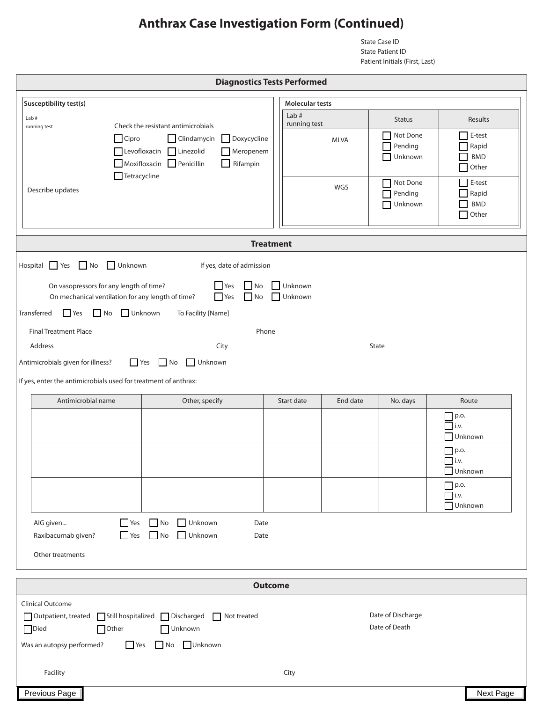State Case ID State Patient ID Patient Initials (First, Last)

| <b>Diagnostics Tests Performed</b>                                                                                                      |                                                                                                                               |                |                        |             |                                    |                                               |  |
|-----------------------------------------------------------------------------------------------------------------------------------------|-------------------------------------------------------------------------------------------------------------------------------|----------------|------------------------|-------------|------------------------------------|-----------------------------------------------|--|
| Susceptibility test(s)                                                                                                                  |                                                                                                                               |                | <b>Molecular tests</b> |             |                                    |                                               |  |
| Lab#<br>Check the resistant antimicrobials                                                                                              |                                                                                                                               |                | Lab#<br>running test   |             | <b>Status</b>                      | Results                                       |  |
| running test<br>$\Box$ Cipro                                                                                                            | Clindamycin<br>Doxycycline<br>Levofloxacin Linezolid<br>Meropenem<br>$\Box$ Moxifloxacin $\Box$ Penicillin<br>$\Box$ Rifampin |                |                        | <b>MLVA</b> | Not Done<br>Pending<br>Unknown     | E-test<br>Rapid<br><b>BMD</b><br>Other        |  |
| $\Box$ Tetracycline<br>Describe updates                                                                                                 |                                                                                                                               |                |                        | <b>WGS</b>  | Not Done<br>Pending<br>Unknown     | E-test<br>Rapid<br><b>BMD</b><br>Other<br>l a |  |
|                                                                                                                                         | <b>Treatment</b>                                                                                                              |                |                        |             |                                    |                                               |  |
| No.<br>Hospital<br>Yes<br>Unknown                                                                                                       | If yes, date of admission                                                                                                     |                |                        |             |                                    |                                               |  |
| On vasopressors for any length of time?<br>On mechanical ventilation for any length of time?                                            | $\Gamma$ Yes<br>$\Box$ No<br>$\Gamma$ Yes<br>$\Box$ No                                                                        |                | Unknown<br>Unknown     |             |                                    |                                               |  |
| $\Box$ Yes<br>No Unknown<br>Transferred                                                                                                 | To Facility [Name]                                                                                                            |                |                        |             |                                    |                                               |  |
| <b>Final Treatment Place</b>                                                                                                            | Phone                                                                                                                         |                |                        |             |                                    |                                               |  |
| Address<br>Antimicrobials given for illness?                                                                                            | City<br>$\Box$ Yes $\Box$ No<br>Unknown                                                                                       |                |                        |             | State                              |                                               |  |
|                                                                                                                                         |                                                                                                                               |                |                        |             |                                    |                                               |  |
| If yes, enter the antimicrobials used for treatment of anthrax:                                                                         |                                                                                                                               |                |                        |             |                                    |                                               |  |
| Antimicrobial name                                                                                                                      | Other, specify                                                                                                                |                | Start date             | End date    | No. days                           | Route                                         |  |
|                                                                                                                                         |                                                                                                                               |                |                        |             |                                    | $\Box$ p.o.<br>$\overline{a}$ i.v.<br>Unknown |  |
|                                                                                                                                         |                                                                                                                               |                |                        |             |                                    | $\n  p.o.\n$<br>$\Box$ i.v.                   |  |
|                                                                                                                                         |                                                                                                                               |                |                        |             |                                    | <b>Unknown</b><br>$\Box$ p.o.<br>$\Box$ i.v.  |  |
|                                                                                                                                         |                                                                                                                               |                |                        |             |                                    | Unknown                                       |  |
| AIG given<br>Raxibacurnab given?<br>Other treatments                                                                                    | $Yes$ No<br>$\Box$ Unknown<br>Date<br>$\Box$ Yes $\Box$ No<br>Unknown<br>Date                                                 |                |                        |             |                                    |                                               |  |
|                                                                                                                                         |                                                                                                                               |                |                        |             |                                    |                                               |  |
|                                                                                                                                         |                                                                                                                               | <b>Outcome</b> |                        |             |                                    |                                               |  |
| <b>Clinical Outcome</b><br>□ Outpatient, treated □ Still hospitalized □ Discharged<br>Died<br>Other<br>Was an autopsy performed?<br>Yes | Not treated<br>Unknown<br>No Unknown                                                                                          |                |                        |             | Date of Discharge<br>Date of Death |                                               |  |
| Facility                                                                                                                                |                                                                                                                               |                | City                   |             |                                    |                                               |  |
| Previous Page                                                                                                                           |                                                                                                                               |                |                        |             |                                    | Next Page                                     |  |